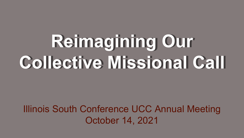# **Reimagining Our Collective Missional Call**

### Illinois South Conference UCC Annual Meeting October 14, 2021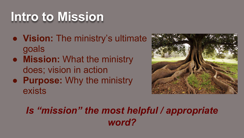## **Intro to Mission**

- **Vision:** The ministry's ultimate goals
- **Mission:** What the ministry does; vision in action
- **Purpose:** Why the ministry exists



### *Is "mission" the most helpful / appropriate word?*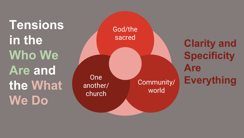**Tensions in the Who We Are and the What We Do**

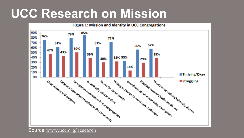### **UCC Research on Mission**



Source:[www.ucc.org/ research](http://www.ucc.org/research)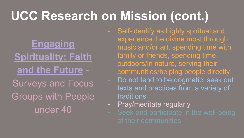## **UCC Research on Mission (cont.)**

### **Engaging [Spirituality: Faith](http://www.uccfiles.com/pdf/Strategic-Visioning-Task-Force-Survey-Summary-Report.pdf) and the Future** - Surveys and Focus Groups with People under 40

- Self-identify as highly spiritual and experience the divine most through music and/or art, spending time with family or friends, spending time outdoors/in nature, serving their communities/helping people directly
	- Do not tend to be dogmatic; seek out texts and practices from a variety of traditions
- Pray/meditate regularly
-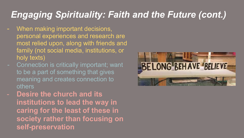### *Engaging Spirituality: Faith and the Future (cont.)*

- When making important decisions, personal experiences and research are most relied upon, along with friends and family (not social media, institutions, or holy texts)
- Connection is critically important; want to be a part of something that gives meaning and creates connection to others
- **Desire the church and its institutions to lead the way in caring for the least of these in society rather than focusing on self-preservation**

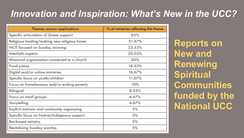### *Innovation and Inspiration: What's New in the UCC?*

| Themes across applications                   | % of ministries reflecting this theme |
|----------------------------------------------|---------------------------------------|
| Specific articulation of Queer support       | 65%                                   |
| Religious healing/making new religious home  | 51.67%                                |
| NOT focused on Sunday morning                | 23.33%                                |
| Interfaith aspects                           | 20.05%                                |
| Missional organization connected to a church | 20%                                   |
| Food justice                                 | 18.33%                                |
| Digital and/or online ministries             | 16.67%                                |
| Specific focus on youth/children             | 11.67%                                |
| Focus on homelessness and/or ending poverty  | 10%                                   |
| Bilingual                                    | 8.33%                                 |
| Focus on small groups                        | 6.67%                                 |
| Storytelling                                 | 6.67%                                 |
| Explicit activism and community organizing   | 5%                                    |
| Specific focus on Native/Indigenous support  | 5%                                    |
| <b>Bar-based ministry</b>                    | 5%                                    |
| <b>Revitalizing Sunday worship</b>           | 5%                                    |

**Reports on New and Renewing Spiritual Communities funded by the National UCC**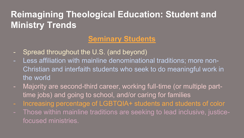#### **Reimagining Theological Education: Student and Ministry Trends**

#### **Seminary Students**

- Spread throughout the U.S. (and beyond)
- Less affiliation with mainline denominational traditions; more non-Christian and interfaith students who seek to do meaningful work in the world
- Majority are second-third career, working full-time (or multiple parttime jobs) and going to school, and/or caring for families
- Increasing percentage of LGBTQIA+ students and students of color
- Those within mainline traditions are seeking to lead inclusive, justicefocused ministries.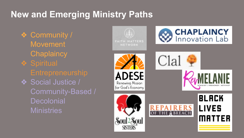#### **New and Emerging Ministry Paths**

❖ Community / **Movement Chaplaincy ❖ Spiritual** ❖ Social Justice / Community-Based / **Decolonial Ministries** 

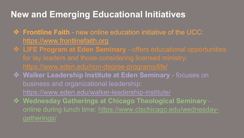#### **New and Emerging Educational Initiatives**

- ❖ **Frontline Faith**  new online education initiative of the UCC: <https://www.frontlinefaith.org>
- ❖ **LIFE Program at Eden Seminary**  offers educational opportunities
- ❖ **Walker Leadership Institute at Eden Seminary**  focuses on business and organizational leadership: <https://www.eden.edu/walker-leadership-institute/>
- ❖ **Wednesday Gatherings at Chicago Theological Seminary**  [online during lunch time: https://www.ctschicago.edu/wednesday](https://www.ctschicago.edu/wednesday-gatherings/)gatherings/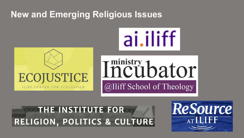#### **New and Emerging Religious Issues**









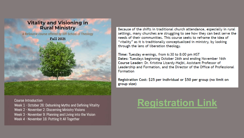

Course Introduction

Week 1 - October 26: Debunking Myths and Defining Vitality Week 2 - November 2: Discerning Ministry Visions Week 3 - November 9: Planning and Living into the Vision Week 4 - November 16: Putting It All Together

Because of the shifts in traditional church attendance, especially in rural settings, many churches are struggling to see how they can best serve the needs of their communities. This course seeks to reframe the idea of "vitality" as it is traditionally conceptualized in ministry, by looking through the lens of liberation theology.

Time: Tuesday evenings, from 6:30 to 8:00 pm MST Dates: Tuesdays beginning October 26th and ending November 16th Course Leader: Dr. Kristina Lizardy-Hajbi, Assistant Professor of Leadership and Formation, and the Director of the Office of Professional Formation

Registration Cost: \$25 per individual or \$50 per group (no limit on group size)

#### **[Registration Link](https://interland3.donorperfect.net/weblink/weblink.aspx?name=E345509&id=46)**